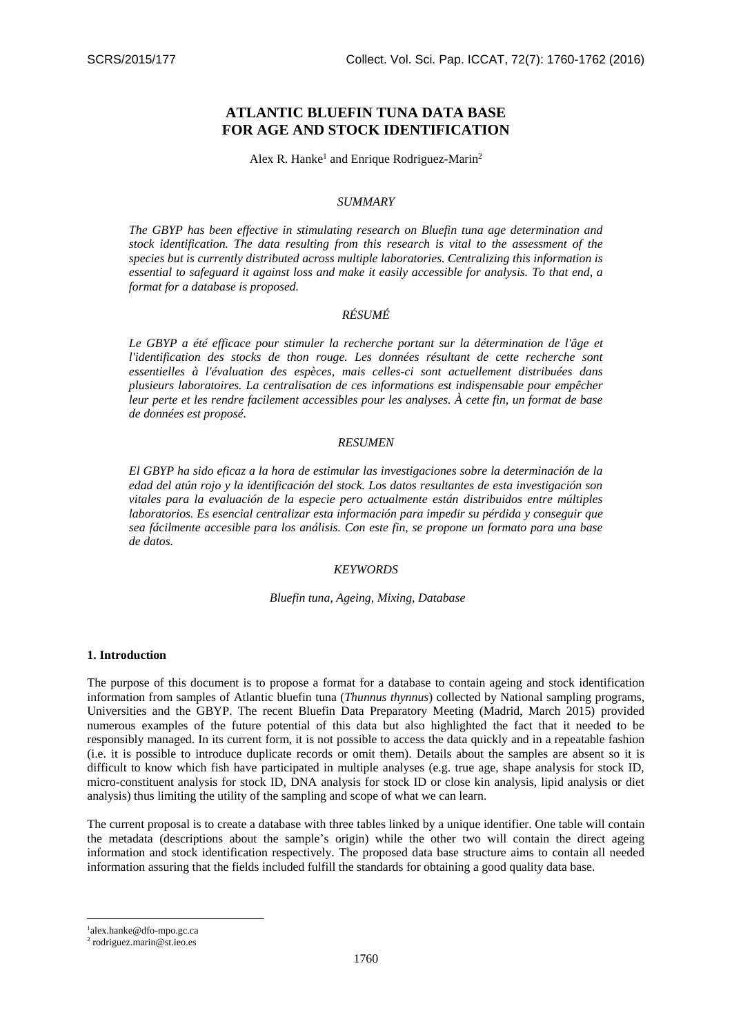# **ATLANTIC BLUEFIN TUNA DATA BASE FOR AGE AND STOCK IDENTIFICATION**

Alex R. Hanke<sup>1</sup> and Enrique Rodriguez-Marin<sup>2</sup>

## *SUMMARY*

*The GBYP has been effective in stimulating research on Bluefin tuna age determination and stock identification. The data resulting from this research is vital to the assessment of the species but is currently distributed across multiple laboratories. Centralizing this information is essential to safeguard it against loss and make it easily accessible for analysis. To that end, a format for a database is proposed.*

## *RÉSUMÉ*

Le GBYP a été efficace pour stimuler la recherche portant sur la détermination de l'âge et *l'identification des stocks de thon rouge. Les données résultant de cette recherche sont essentielles à l'évaluation des espèces, mais celles-ci sont actuellement distribuées dans plusieurs laboratoires. La centralisation de ces informations est indispensable pour empêcher leur perte et les rendre facilement accessibles pour les analyses. À cette fin, un format de base de données est proposé.*

#### *RESUMEN*

*El GBYP ha sido eficaz a la hora de estimular las investigaciones sobre la determinación de la edad del atún rojo y la identificación del stock. Los datos resultantes de esta investigación son vitales para la evaluación de la especie pero actualmente están distribuidos entre múltiples laboratorios. Es esencial centralizar esta información para impedir su pérdida y conseguir que sea fácilmente accesible para los análisis. Con este fin, se propone un formato para una base de datos.*

## *KEYWORDS*

#### *Bluefin tuna, Ageing, Mixing, Database*

#### **1. Introduction**

The purpose of this document is to propose a format for a database to contain ageing and stock identification information from samples of Atlantic bluefin tuna (*Thunnus thynnus*) collected by National sampling programs, Universities and the GBYP. The recent Bluefin Data Preparatory Meeting (Madrid, March 2015) provided numerous examples of the future potential of this data but also highlighted the fact that it needed to be responsibly managed. In its current form, it is not possible to access the data quickly and in a repeatable fashion (i.e. it is possible to introduce duplicate records or omit them). Details about the samples are absent so it is difficult to know which fish have participated in multiple analyses (e.g. true age, shape analysis for stock ID, micro-constituent analysis for stock ID, DNA analysis for stock ID or close kin analysis, lipid analysis or diet analysis) thus limiting the utility of the sampling and scope of what we can learn.

The current proposal is to create a database with three tables linked by a unique identifier. One table will contain the metadata (descriptions about the sample's origin) while the other two will contain the direct ageing information and stock identification respectively. The proposed data base structure aims to contain all needed information assuring that the fields included fulfill the standards for obtaining a good quality data base.

1 [alex.hanke@dfo-mpo.gc.ca](mailto:alex.hanke@dfo-mpo.gc.ca)

<u>.</u>

<sup>2</sup> [rodriguez.marin@st.ieo.es](mailto:rodriguez.marin@st.ieo.es)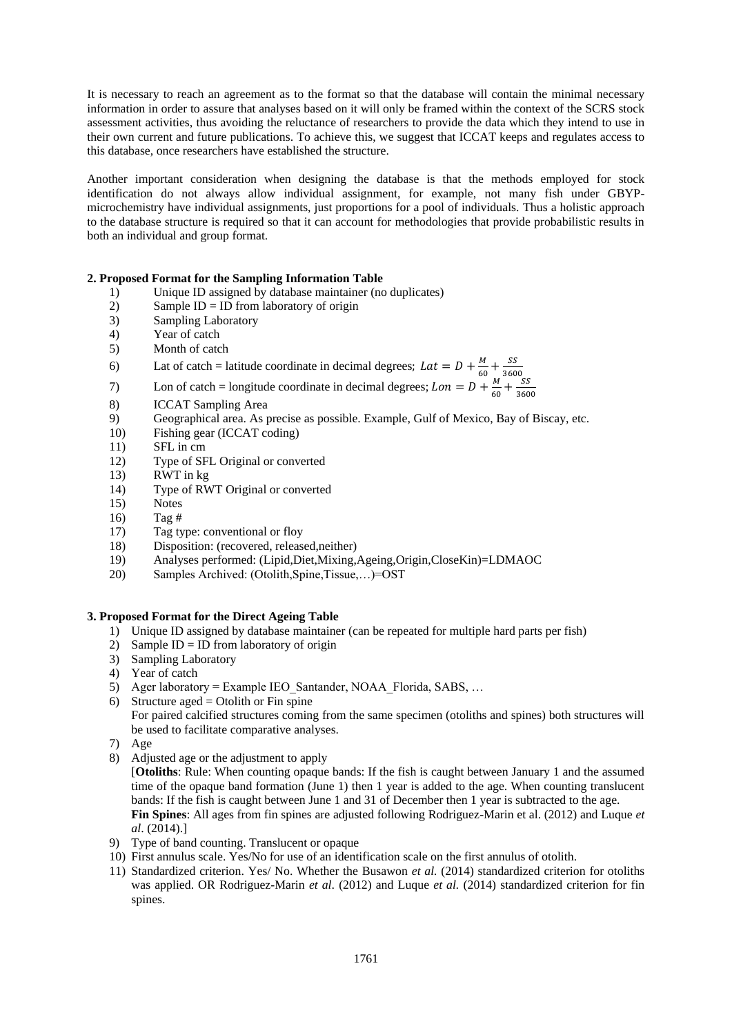It is necessary to reach an agreement as to the format so that the database will contain the minimal necessary information in order to assure that analyses based on it will only be framed within the context of the SCRS stock assessment activities, thus avoiding the reluctance of researchers to provide the data which they intend to use in their own current and future publications. To achieve this, we suggest that ICCAT keeps and regulates access to this database, once researchers have established the structure.

Another important consideration when designing the database is that the methods employed for stock identification do not always allow individual assignment, for example, not many fish under GBYPmicrochemistry have individual assignments, just proportions for a pool of individuals. Thus a holistic approach to the database structure is required so that it can account for methodologies that provide probabilistic results in both an individual and group format.

## **2. Proposed Format for the Sampling Information Table**

- 1) Unique ID assigned by database maintainer (no duplicates)
- 2) Sample  $ID = ID$  from laboratory of origin
- 3) Sampling Laboratory
- 4) Year of catch
- 5) Month of catch
- 6) Lat of catch = latitude coordinate in decimal degrees;  $Lat = D + \frac{M}{c}$  $\frac{M}{60} + \frac{SS}{360}$ 3600
- 7) Lon of catch = longitude coordinate in decimal degrees;  $L \circ n = D + \frac{M}{c}$  $\frac{M}{60} + \frac{SS}{360}$ 3600
- 8) ICCAT Sampling Area
- 9) Geographical area. As precise as possible. Example, Gulf of Mexico, Bay of Biscay, etc.
- 10) Fishing gear (ICCAT coding)
- 11) SFL in cm
- 12) Type of SFL Original or converted
- 13) RWT in kg
- 14) Type of RWT Original or converted
- 15) Notes
- 16) Tag #
- 17) Tag type: conventional or floy
- 18) Disposition: (recovered, released,neither)
- 19) Analyses performed: (Lipid,Diet,Mixing,Ageing,Origin,CloseKin)=LDMAOC
- 20) Samples Archived: (Otolith,Spine,Tissue,…)=OST

### **3. Proposed Format for the Direct Ageing Table**

- 1) Unique ID assigned by database maintainer (can be repeated for multiple hard parts per fish)
- 2) Sample ID = ID from laboratory of origin
- 3) Sampling Laboratory
- 4) Year of catch
- 5) Ager laboratory = Example IEO\_Santander, NOAA\_Florida, SABS, …
- 6) Structure aged = Otolith or Fin spine

For paired calcified structures coming from the same specimen (otoliths and spines) both structures will be used to facilitate comparative analyses.

- 7) Age
- 8) Adjusted age or the adjustment to apply

[**Otoliths**: Rule: When counting opaque bands: If the fish is caught between January 1 and the assumed time of the opaque band formation (June 1) then 1 year is added to the age. When counting translucent bands: If the fish is caught between June 1 and 31 of December then 1 year is subtracted to the age. **Fin Spines**: All ages from fin spines are adjusted following Rodriguez-Marin et al. (2012) and Luque *et al*. (2014).]

- 9) Type of band counting. Translucent or opaque
- 10) First annulus scale. Yes/No for use of an identification scale on the first annulus of otolith.
- 11) Standardized criterion. Yes/ No. Whether the Busawon *et al.* (2014) standardized criterion for otoliths was applied. OR Rodriguez-Marin *et al*. (2012) and Luque *et al.* (2014) standardized criterion for fin spines.